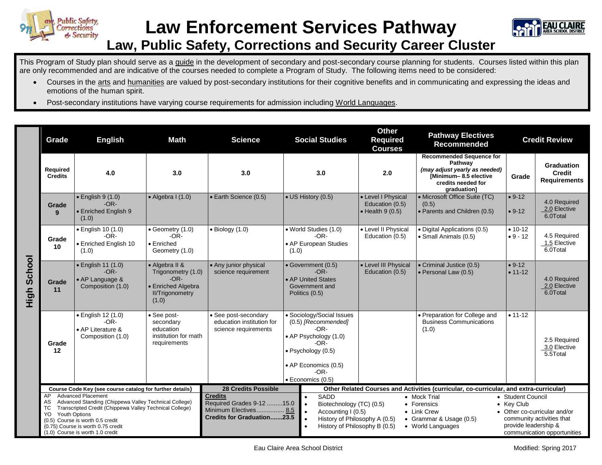



## **Law, Public Safety, Corrections and Security Career Cluster**

This Program of Study plan should serve as a guide in the development of secondary and post-secondary course planning for students. Courses listed within this plan are only recommended and are indicative of the courses needed to complete a Program of Study. The following items need to be considered:

- Courses in the arts and humanities are valued by post-secondary institutions for their cognitive benefits and in communicating and expressing the ideas and emotions of the human spirit.
- Post-secondary institutions have varying course requirements for admission including World Languages.

|                | Grade                                                    | <b>English</b><br>Math                                                                                                                                                                                                                                      |                                                                                                                                                         | <b>Social Studies</b><br><b>Science</b>                                                                   |                                                                                                                                                                                | <b>Other</b><br><b>Required</b><br><b>Courses</b>                                                                                                                                               | <b>Pathway Electives</b><br><b>Recommended</b>                                                                                            |                         | <b>Credit Review</b>                                                                                             |  |
|----------------|----------------------------------------------------------|-------------------------------------------------------------------------------------------------------------------------------------------------------------------------------------------------------------------------------------------------------------|---------------------------------------------------------------------------------------------------------------------------------------------------------|-----------------------------------------------------------------------------------------------------------|--------------------------------------------------------------------------------------------------------------------------------------------------------------------------------|-------------------------------------------------------------------------------------------------------------------------------------------------------------------------------------------------|-------------------------------------------------------------------------------------------------------------------------------------------|-------------------------|------------------------------------------------------------------------------------------------------------------|--|
|                | Required<br><b>Credits</b>                               | 4.0                                                                                                                                                                                                                                                         | 3.0                                                                                                                                                     | 3.0                                                                                                       | 3.0                                                                                                                                                                            | 2.0                                                                                                                                                                                             | <b>Recommended Sequence for</b><br>Pathway<br>(may adjust yearly as needed)<br>[Minimum-8.5 elective<br>credits needed for<br>graduation] | Grade                   | <b>Graduation</b><br><b>Credit</b><br><b>Requirements</b>                                                        |  |
|                | Grade<br>9                                               | $\bullet$ English 9 (1.0)<br>$-OR-$<br>• Enriched English 9<br>(1.0)                                                                                                                                                                                        | $\bullet$ Algebra I (1.0)                                                                                                                               | • Earth Science (0.5)                                                                                     | • US History (0.5)                                                                                                                                                             | • Level I Physical<br>Education (0.5)<br>$\bullet$ Health 9 (0.5)                                                                                                                               | • Microsoft Office Suite (TC)<br>(0.5)<br>• Parents and Children (0.5)                                                                    | $• 9-12$<br>$• 9-12$    | 4.0 Required<br>2.0 Elective<br>6.0Total                                                                         |  |
| School<br>High | Grade<br>10                                              | • English 10 (1.0)<br>$-OR-$<br>• Enriched English 10<br>(1.0)                                                                                                                                                                                              | • Geometry (1.0)<br>$-OR-$<br>$\bullet$ Enriched<br>Geometry (1.0)                                                                                      | $\bullet$ Biology (1.0)                                                                                   | • World Studies (1.0)<br>-OR-<br>• AP European Studies<br>(1.0)                                                                                                                | • Level II Physical<br>Education (0.5)                                                                                                                                                          | • Digital Applications (0.5)<br>• Small Animals (0.5)                                                                                     | $• 10-12$<br>$• 9 - 12$ | 4.5 Required<br>1.5 Elective<br>6.0Total                                                                         |  |
|                | Grade<br>11                                              | $\bullet$ English 11 (1.0)<br>$-OR-$<br>• AP Language &<br>Composition (1.0)                                                                                                                                                                                | • Algebra II &<br>• Any junior physical<br>Trigonometry (1.0)<br>science requirement<br>$-OR-$<br>• Enriched Algebra<br><b>II/Trigonometry</b><br>(1.0) |                                                                                                           | • Government (0.5)<br>• Level III Physical<br>$-OR-$<br>Education (0.5)<br>• AP United States<br>Government and<br>Politics (0.5)                                              |                                                                                                                                                                                                 | • Criminal Justice (0.5)<br>$\bullet$ Personal Law (0.5)                                                                                  | $• 9-12$<br>$• 11-12$   | 4.0 Required<br>2.0 Elective<br>6.0Total                                                                         |  |
|                | Grade<br>12                                              | · English 12 (1.0)<br>$-OR-$<br>• AP Literature &<br>Composition (1.0)                                                                                                                                                                                      | · See post-<br>secondary<br>education<br>institution for math<br>requirements                                                                           | • See post-secondary<br>education institution for<br>science requirements                                 | • Sociology/Social Issues<br>(0.5) [Recommended]<br>-OR-<br>• AP Psychology (1.0)<br>-OR-<br>· Psychology (0.5)<br>• AP Economics (0.5)<br>$-OR-$<br>$\bullet$ Economics (0.5) |                                                                                                                                                                                                 | · Preparation for College and<br><b>Business Communications</b><br>(1.0)                                                                  | $• 11 - 12$             | 2.5 Required<br>3.0 Elective<br>5.5Total                                                                         |  |
|                | Course Code Key (see course catalog for further details) |                                                                                                                                                                                                                                                             |                                                                                                                                                         | <b>28 Credits Possible</b>                                                                                |                                                                                                                                                                                | Other Related Courses and Activities (curricular, co-curricular, and extra-curricular)                                                                                                          |                                                                                                                                           |                         |                                                                                                                  |  |
|                | AP<br>AS<br>ТC<br><b>Youth Options</b><br>YO.            | <b>Advanced Placement</b><br>Advanced Standing (Chippewa Valley Technical College)<br>Transcripted Credit (Chippewa Valley Technical College)<br>(0.5) Course is worth 0.5 credit<br>(0.75) Course is worth 0.75 credit<br>(1.0) Course is worth 1.0 credit |                                                                                                                                                         | <b>Credits</b><br>Required Grades 9-12 15.0<br>Minimum Electives 8.5<br><b>Credits for Graduation23.5</b> | SADD<br>Biotechnology (TC) (0.5)<br>Accounting I (0.5)<br>$\bullet$                                                                                                            | • Mock Trial<br>• Student Council<br>• Key Club<br>• Forensics<br>• Link Crew<br>History of Philosophy A (0.5)<br>• Grammar & Usage (0.5)<br>History of Philosophy B (0.5)<br>• World Languages |                                                                                                                                           |                         | • Other co-curricular and/or<br>community activities that<br>provide leadership &<br>communication opportunities |  |